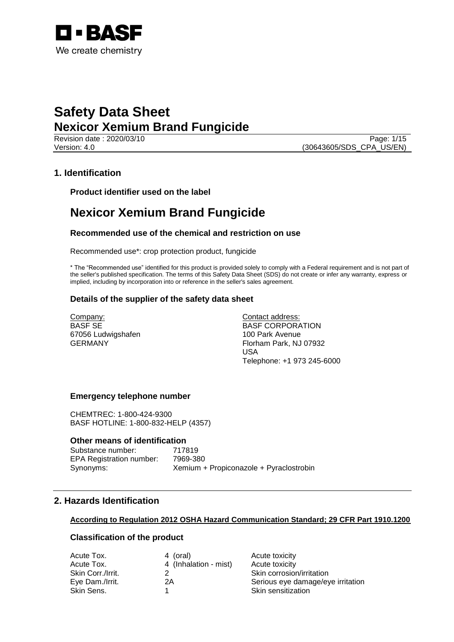

Revision date : 2020/03/10 Page: 1/15 Version: 4.0 (30643605/SDS\_CPA\_US/EN)

## **1. Identification**

**Product identifier used on the label**

## **Nexicor Xemium Brand Fungicide**

## **Recommended use of the chemical and restriction on use**

Recommended use\*: crop protection product, fungicide

\* The "Recommended use" identified for this product is provided solely to comply with a Federal requirement and is not part of the seller's published specification. The terms of this Safety Data Sheet (SDS) do not create or infer any warranty, express or implied, including by incorporation into or reference in the seller's sales agreement.

## **Details of the supplier of the safety data sheet**

Company: BASF SE 67056 Ludwigshafen GERMANY

Contact address: BASF CORPORATION 100 Park Avenue Florham Park, NJ 07932 USA Telephone: +1 973 245-6000

## **Emergency telephone number**

CHEMTREC: 1-800-424-9300 BASF HOTLINE: 1-800-832-HELP (4357)

## **Other means of identification**

Substance number: 717819<br>EPA Registration number: 7969-380 EPA Registration number:

Synonyms: Xemium + Propiconazole + Pyraclostrobin

## **2. Hazards Identification**

## **According to Regulation 2012 OSHA Hazard Communication Standard; 29 CFR Part 1910.1200**

## **Classification of the product**

| Acute Tox.        | 4 (oral)              | Acute toxicity                    |
|-------------------|-----------------------|-----------------------------------|
| Acute Tox.        | 4 (Inhalation - mist) | Acute toxicity                    |
| Skin Corr./Irrit. |                       | Skin corrosion/irritation         |
| Eye Dam./Irrit.   | 2Α                    | Serious eye damage/eye irritation |
| Skin Sens.        |                       | Skin sensitization                |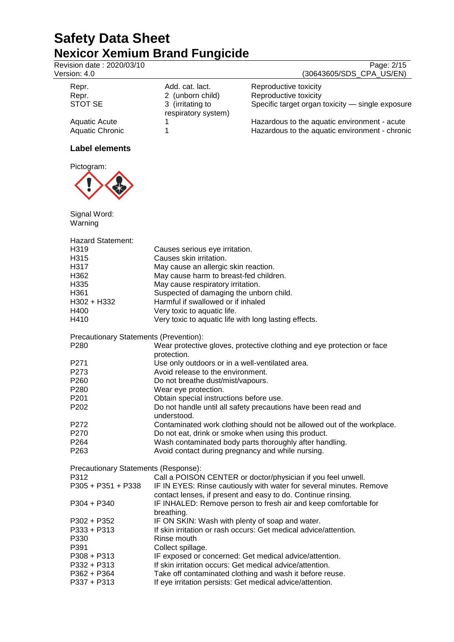Revision date : 2020/03/10 Page: 2/15

Version: 4.0 (30643605/SDS\_CPA\_US/EN)

| Repr.<br>Repr.                          | Add. cat. lact.<br>2 (unborn child)     | Reproductive toxicity<br>Reproductive toxicity                                                 |
|-----------------------------------------|-----------------------------------------|------------------------------------------------------------------------------------------------|
| STOT SE                                 | 3 (irritating to<br>respiratory system) | Specific target organ toxicity - single exposure                                               |
| Aquatic Acute<br><b>Aquatic Chronic</b> |                                         | Hazardous to the aquatic environment - acute<br>Hazardous to the aquatic environment - chronic |

## **Label elements**



Signal Word: Warning

| <b>Hazard Statement:</b>               |                                                                                                                                     |
|----------------------------------------|-------------------------------------------------------------------------------------------------------------------------------------|
| H319                                   | Causes serious eye irritation.                                                                                                      |
| H315                                   | Causes skin irritation.                                                                                                             |
| H317                                   | May cause an allergic skin reaction.                                                                                                |
| H362                                   | May cause harm to breast-fed children.                                                                                              |
| H335                                   | May cause respiratory irritation.                                                                                                   |
| H361                                   | Suspected of damaging the unborn child.                                                                                             |
| H302 + H332                            | Harmful if swallowed or if inhaled                                                                                                  |
| H400                                   | Very toxic to aquatic life.                                                                                                         |
| H410                                   | Very toxic to aquatic life with long lasting effects.                                                                               |
| Precautionary Statements (Prevention): |                                                                                                                                     |
| P <sub>280</sub>                       | Wear protective gloves, protective clothing and eye protection or face<br>protection.                                               |
| P <sub>271</sub>                       | Use only outdoors or in a well-ventilated area.                                                                                     |
| P273                                   | Avoid release to the environment.                                                                                                   |
| P <sub>260</sub>                       | Do not breathe dust/mist/vapours.                                                                                                   |
| P280                                   | Wear eye protection.                                                                                                                |
| P201                                   | Obtain special instructions before use.                                                                                             |
| P202                                   | Do not handle until all safety precautions have been read and<br>understood.                                                        |
| P272                                   | Contaminated work clothing should not be allowed out of the workplace.                                                              |
| P270                                   | Do not eat, drink or smoke when using this product.                                                                                 |
| P264                                   | Wash contaminated body parts thoroughly after handling.                                                                             |
| P263                                   | Avoid contact during pregnancy and while nursing.                                                                                   |
| Precautionary Statements (Response):   |                                                                                                                                     |
| P312                                   | Call a POISON CENTER or doctor/physician if you feel unwell.                                                                        |
| P305 + P351 + P338                     | IF IN EYES: Rinse cautiously with water for several minutes. Remove<br>contact lenses, if present and easy to do. Continue rinsing. |
| P304 + P340                            | IF INHALED: Remove person to fresh air and keep comfortable for<br>breathing.                                                       |
| P302 + P352                            | IF ON SKIN: Wash with plenty of soap and water.                                                                                     |
| P333 + P313                            | If skin irritation or rash occurs: Get medical advice/attention.                                                                    |
| P330                                   | Rinse mouth                                                                                                                         |
| P391                                   | Collect spillage.                                                                                                                   |
| P308 + P313                            | IF exposed or concerned: Get medical advice/attention.                                                                              |
| P332 + P313                            | If skin irritation occurs: Get medical advice/attention.                                                                            |
| $P362 + P364$                          | Take off contaminated clothing and wash it before reuse.                                                                            |
| P337 + P313                            | If eye irritation persists: Get medical advice/attention.                                                                           |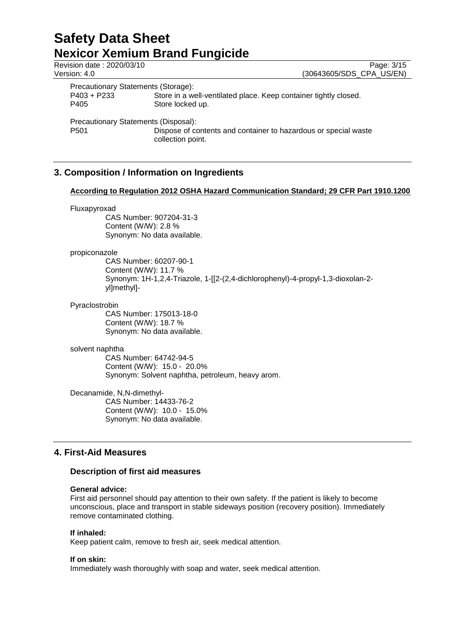| Revision date: 2020/03/10            |                                                                                      | Page: 3/15               |
|--------------------------------------|--------------------------------------------------------------------------------------|--------------------------|
| Version: 4.0                         |                                                                                      | (30643605/SDS CPA US/EN) |
| Precautionary Statements (Storage):  |                                                                                      |                          |
| $P403 + P233$                        | Store in a well-ventilated place. Keep container tightly closed.                     |                          |
| P405                                 | Store locked up.                                                                     |                          |
| Precautionary Statements (Disposal): |                                                                                      |                          |
| P501                                 | Dispose of contents and container to hazardous or special waste<br>collection point. |                          |

## **3. Composition / Information on Ingredients**

## **According to Regulation 2012 OSHA Hazard Communication Standard; 29 CFR Part 1910.1200**

#### Fluxapyroxad

CAS Number: 907204-31-3 Content (W/W): 2.8 % Synonym: No data available.

## propiconazole

CAS Number: 60207-90-1 Content (W/W): 11.7 % Synonym: 1H-1,2,4-Triazole, 1-[[2-(2,4-dichlorophenyl)-4-propyl-1,3-dioxolan-2 yl]methyl]-

#### Pyraclostrobin

CAS Number: 175013-18-0 Content (W/W): 18.7 % Synonym: No data available.

#### solvent naphtha

CAS Number: 64742-94-5 Content (W/W): 15.0 - 20.0% Synonym: Solvent naphtha, petroleum, heavy arom.

Decanamide, N,N-dimethyl-CAS Number: 14433-76-2 Content (W/W): 10.0 - 15.0% Synonym: No data available.

## **4. First-Aid Measures**

## **Description of first aid measures**

## **General advice:**

First aid personnel should pay attention to their own safety. If the patient is likely to become unconscious, place and transport in stable sideways position (recovery position). Immediately remove contaminated clothing.

## **If inhaled:**

Keep patient calm, remove to fresh air, seek medical attention.

## **If on skin:**

Immediately wash thoroughly with soap and water, seek medical attention.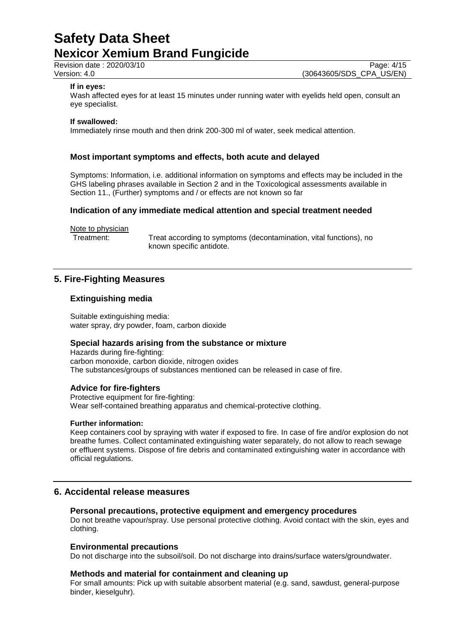Revision date : 2020/03/10 Page: 4/15<br>Version: 4.0 Page: 4/15 (30643605/SDS\_CPA\_US/EN)

## **If in eyes:**

Wash affected eyes for at least 15 minutes under running water with eyelids held open, consult an eye specialist.

## **If swallowed:**

Immediately rinse mouth and then drink 200-300 ml of water, seek medical attention.

## **Most important symptoms and effects, both acute and delayed**

Symptoms: Information, i.e. additional information on symptoms and effects may be included in the GHS labeling phrases available in Section 2 and in the Toxicological assessments available in Section 11., (Further) symptoms and / or effects are not known so far

## **Indication of any immediate medical attention and special treatment needed**

Note to physician

Treatment: Treat according to symptoms (decontamination, vital functions), no known specific antidote.

## **5. Fire-Fighting Measures**

## **Extinguishing media**

Suitable extinguishing media: water spray, dry powder, foam, carbon dioxide

## **Special hazards arising from the substance or mixture**

Hazards during fire-fighting: carbon monoxide, carbon dioxide, nitrogen oxides The substances/groups of substances mentioned can be released in case of fire.

## **Advice for fire-fighters**

Protective equipment for fire-fighting: Wear self-contained breathing apparatus and chemical-protective clothing.

#### **Further information:**

Keep containers cool by spraying with water if exposed to fire. In case of fire and/or explosion do not breathe fumes. Collect contaminated extinguishing water separately, do not allow to reach sewage or effluent systems. Dispose of fire debris and contaminated extinguishing water in accordance with official regulations.

## **6. Accidental release measures**

#### **Personal precautions, protective equipment and emergency procedures**

Do not breathe vapour/spray. Use personal protective clothing. Avoid contact with the skin, eyes and clothing.

## **Environmental precautions**

Do not discharge into the subsoil/soil. Do not discharge into drains/surface waters/groundwater.

## **Methods and material for containment and cleaning up**

For small amounts: Pick up with suitable absorbent material (e.g. sand, sawdust, general-purpose binder, kieselguhr).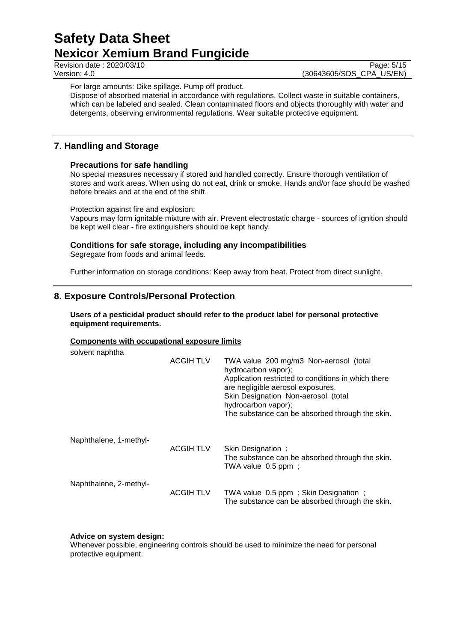Revision date : 2020/03/10 Page: 5/15<br>Version: 4.0 Page: 5/15 (30643605/SDS CPA US/EN)

(30643605/SDS\_CPA\_US/EN)

For large amounts: Dike spillage. Pump off product.

Dispose of absorbed material in accordance with regulations. Collect waste in suitable containers, which can be labeled and sealed. Clean contaminated floors and objects thoroughly with water and detergents, observing environmental regulations. Wear suitable protective equipment.

## **7. Handling and Storage**

## **Precautions for safe handling**

No special measures necessary if stored and handled correctly. Ensure thorough ventilation of stores and work areas. When using do not eat, drink or smoke. Hands and/or face should be washed before breaks and at the end of the shift.

Protection against fire and explosion:

Vapours may form ignitable mixture with air. Prevent electrostatic charge - sources of ignition should be kept well clear - fire extinguishers should be kept handy.

## **Conditions for safe storage, including any incompatibilities**

Segregate from foods and animal feeds.

Further information on storage conditions: Keep away from heat. Protect from direct sunlight.

## **8. Exposure Controls/Personal Protection**

## **Users of a pesticidal product should refer to the product label for personal protective equipment requirements.**

## **Components with occupational exposure limits**

| solvent naphtha        | <b>ACGIH TLV</b> | TWA value 200 mg/m3 Non-aerosol (total<br>hydrocarbon vapor);<br>Application restricted to conditions in which there<br>are negligible aerosol exposures.<br>Skin Designation Non-aerosol (total<br>hydrocarbon vapor);<br>The substance can be absorbed through the skin. |
|------------------------|------------------|----------------------------------------------------------------------------------------------------------------------------------------------------------------------------------------------------------------------------------------------------------------------------|
| Naphthalene, 1-methyl- | <b>ACGIH TLV</b> | Skin Designation;<br>The substance can be absorbed through the skin.<br>TWA value 0.5 ppm;                                                                                                                                                                                 |
| Naphthalene, 2-methyl- | <b>ACGIH TLV</b> | TWA value 0.5 ppm; Skin Designation;<br>The substance can be absorbed through the skin.                                                                                                                                                                                    |

## **Advice on system design:**

Whenever possible, engineering controls should be used to minimize the need for personal protective equipment.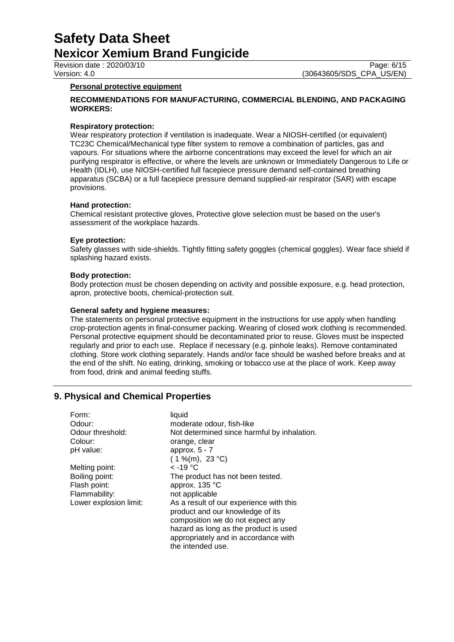Revision date : 2020/03/10 Page: 6/15<br>Version: 4.0 Page: 6/15 (30643605/SDS CPA US/EN)

(30643605/SDS\_CPA\_US/EN)

## **Personal protective equipment**

## **RECOMMENDATIONS FOR MANUFACTURING, COMMERCIAL BLENDING, AND PACKAGING WORKERS:**

## **Respiratory protection:**

Wear respiratory protection if ventilation is inadequate. Wear a NIOSH-certified (or equivalent) TC23C Chemical/Mechanical type filter system to remove a combination of particles, gas and vapours. For situations where the airborne concentrations may exceed the level for which an air purifying respirator is effective, or where the levels are unknown or Immediately Dangerous to Life or Health (IDLH), use NIOSH-certified full facepiece pressure demand self-contained breathing apparatus (SCBA) or a full facepiece pressure demand supplied-air respirator (SAR) with escape provisions.

## **Hand protection:**

Chemical resistant protective gloves, Protective glove selection must be based on the user's assessment of the workplace hazards.

#### **Eye protection:**

Safety glasses with side-shields. Tightly fitting safety goggles (chemical goggles). Wear face shield if splashing hazard exists.

#### **Body protection:**

Body protection must be chosen depending on activity and possible exposure, e.g. head protection, apron, protective boots, chemical-protection suit.

#### **General safety and hygiene measures:**

The statements on personal protective equipment in the instructions for use apply when handling crop-protection agents in final-consumer packing. Wearing of closed work clothing is recommended. Personal protective equipment should be decontaminated prior to reuse. Gloves must be inspected regularly and prior to each use. Replace if necessary (e.g. pinhole leaks). Remove contaminated clothing. Store work clothing separately. Hands and/or face should be washed before breaks and at the end of the shift. No eating, drinking, smoking or tobacco use at the place of work. Keep away from food, drink and animal feeding stuffs.

## **9. Physical and Chemical Properties**

| Form:                  | liquid                                      |
|------------------------|---------------------------------------------|
| Odour:                 | moderate odour, fish-like                   |
| Odour threshold:       | Not determined since harmful by inhalation. |
| Colour:                | orange, clear                               |
| pH value:              | approx. $5 - 7$                             |
|                        | $(1\%$ (m), 23 °C)                          |
| Melting point:         | $<$ -19 °C                                  |
| Boiling point:         | The product has not been tested.            |
| Flash point:           | approx. 135 °C                              |
| Flammability:          | not applicable                              |
| Lower explosion limit: | As a result of our experience with this     |
|                        | product and our knowledge of its            |
|                        | composition we do not expect any            |
|                        | hazard as long as the product is used       |
|                        | appropriately and in accordance with        |
|                        | the intended use.                           |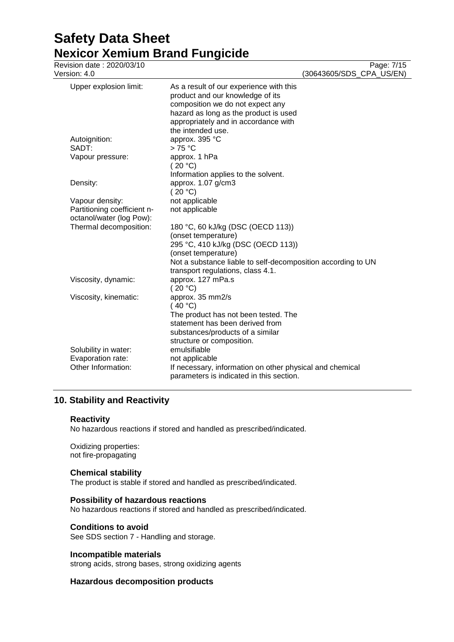# **Safety Data Sheet Nexicor Xemium Brand Fungicide**<br>Revision date : 2020/03/10

| Revision date: 2020/03/10<br>Version: 4.0                       |                                                                                                                                                                                                                            | Page: 7/15<br>(30643605/SDS_CPA_US/EN) |
|-----------------------------------------------------------------|----------------------------------------------------------------------------------------------------------------------------------------------------------------------------------------------------------------------------|----------------------------------------|
| Upper explosion limit:                                          | As a result of our experience with this<br>product and our knowledge of its<br>composition we do not expect any<br>hazard as long as the product is used<br>appropriately and in accordance with<br>the intended use.      |                                        |
| Autoignition:                                                   | approx. 395 °C                                                                                                                                                                                                             |                                        |
| SADT:                                                           | >75 °C                                                                                                                                                                                                                     |                                        |
| Vapour pressure:                                                | approx. 1 hPa<br>(20 °C)<br>Information applies to the solvent.                                                                                                                                                            |                                        |
| Density:                                                        | approx. 1.07 g/cm3<br>(20 °C)                                                                                                                                                                                              |                                        |
| Vapour density:                                                 | not applicable                                                                                                                                                                                                             |                                        |
| Partitioning coefficient n-<br>octanol/water (log Pow):         | not applicable                                                                                                                                                                                                             |                                        |
| Thermal decomposition:                                          | 180 °C, 60 kJ/kg (DSC (OECD 113))<br>(onset temperature)<br>295 °C, 410 kJ/kg (DSC (OECD 113))<br>(onset temperature)<br>Not a substance liable to self-decomposition according to UN<br>transport regulations, class 4.1. |                                        |
| Viscosity, dynamic:                                             | approx. 127 mPa.s<br>(20 °C)                                                                                                                                                                                               |                                        |
| Viscosity, kinematic:                                           | approx. 35 mm2/s<br>(40 °C)<br>The product has not been tested. The<br>statement has been derived from<br>substances/products of a similar<br>structure or composition.                                                    |                                        |
| Solubility in water:<br>Evaporation rate:<br>Other Information: | emulsifiable<br>not applicable<br>If necessary, information on other physical and chemical<br>parameters is indicated in this section.                                                                                     |                                        |

## **10. Stability and Reactivity**

## **Reactivity**

No hazardous reactions if stored and handled as prescribed/indicated.

Oxidizing properties: not fire-propagating

## **Chemical stability**

The product is stable if stored and handled as prescribed/indicated.

## **Possibility of hazardous reactions**

No hazardous reactions if stored and handled as prescribed/indicated.

## **Conditions to avoid**

See SDS section 7 - Handling and storage.

## **Incompatible materials**

strong acids, strong bases, strong oxidizing agents

## **Hazardous decomposition products**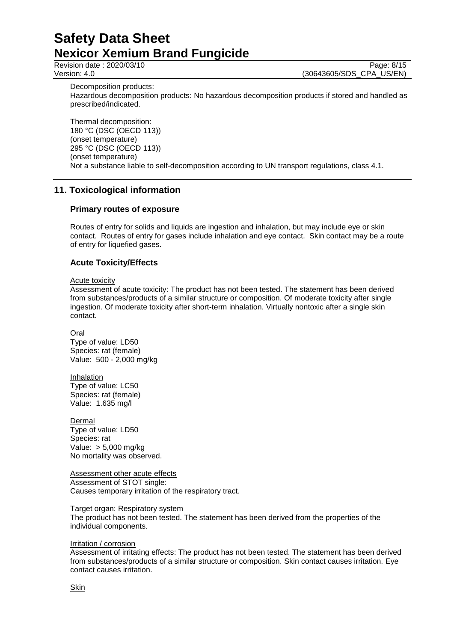Revision date : 2020/03/10 Page: 8/15<br>Version: 4.0 (30643605/SDS CPA US/EN)

(30643605/SDS CPA US/EN)

Decomposition products: Hazardous decomposition products: No hazardous decomposition products if stored and handled as prescribed/indicated.

Thermal decomposition: 180 °C (DSC (OECD 113)) (onset temperature) 295 °C (DSC (OECD 113)) (onset temperature) Not a substance liable to self-decomposition according to UN transport regulations, class 4.1.

## **11. Toxicological information**

## **Primary routes of exposure**

Routes of entry for solids and liquids are ingestion and inhalation, but may include eye or skin contact. Routes of entry for gases include inhalation and eye contact. Skin contact may be a route of entry for liquefied gases.

## **Acute Toxicity/Effects**

Acute toxicity

Assessment of acute toxicity: The product has not been tested. The statement has been derived from substances/products of a similar structure or composition. Of moderate toxicity after single ingestion. Of moderate toxicity after short-term inhalation. Virtually nontoxic after a single skin contact.

Oral Type of value: LD50 Species: rat (female) Value: 500 - 2,000 mg/kg

Inhalation Type of value: LC50 Species: rat (female) Value: 1.635 mg/l

**Dermal** Type of value: LD50 Species: rat Value: > 5,000 mg/kg No mortality was observed.

Assessment other acute effects Assessment of STOT single: Causes temporary irritation of the respiratory tract.

Target organ: Respiratory system

The product has not been tested. The statement has been derived from the properties of the individual components.

## Irritation / corrosion

Assessment of irritating effects: The product has not been tested. The statement has been derived from substances/products of a similar structure or composition. Skin contact causes irritation. Eye contact causes irritation.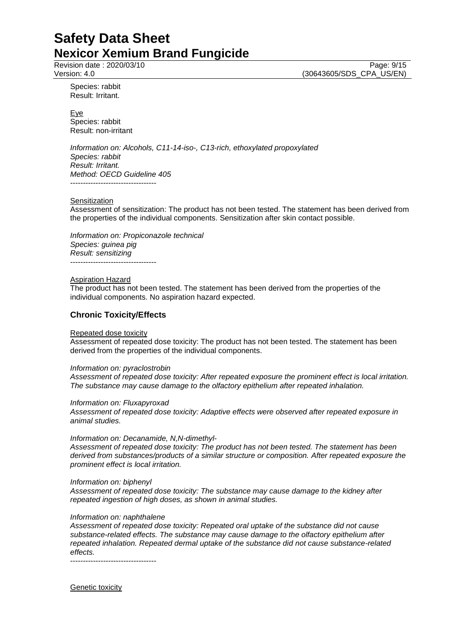Revision date : 2020/03/10 Page: 9/15<br>Version: 4.0 Page: 9/15 (30643605/SDS\_CPA\_US/EN)

Species: rabbit Result: Irritant.

Eye Species: rabbit Result: non-irritant

*Information on: Alcohols, C11-14-iso-, C13-rich, ethoxylated propoxylated Species: rabbit Result: Irritant. Method: OECD Guideline 405* ----------------------------------

## Sensitization

Assessment of sensitization: The product has not been tested. The statement has been derived from the properties of the individual components. Sensitization after skin contact possible.

*Information on: Propiconazole technical Species: guinea pig Result: sensitizing* ----------------------------------

#### Aspiration Hazard

The product has not been tested. The statement has been derived from the properties of the individual components. No aspiration hazard expected.

## **Chronic Toxicity/Effects**

#### Repeated dose toxicity

Assessment of repeated dose toxicity: The product has not been tested. The statement has been derived from the properties of the individual components.

#### *Information on: pyraclostrobin*

*Assessment of repeated dose toxicity: After repeated exposure the prominent effect is local irritation. The substance may cause damage to the olfactory epithelium after repeated inhalation.*

#### *Information on: Fluxapyroxad*

*Assessment of repeated dose toxicity: Adaptive effects were observed after repeated exposure in animal studies.*

#### *Information on: Decanamide, N,N-dimethyl-*

*Assessment of repeated dose toxicity: The product has not been tested. The statement has been derived from substances/products of a similar structure or composition. After repeated exposure the prominent effect is local irritation.*

#### *Information on: biphenyl*

*Assessment of repeated dose toxicity: The substance may cause damage to the kidney after repeated ingestion of high doses, as shown in animal studies.*

#### *Information on: naphthalene*

*Assessment of repeated dose toxicity: Repeated oral uptake of the substance did not cause substance-related effects. The substance may cause damage to the olfactory epithelium after repeated inhalation. Repeated dermal uptake of the substance did not cause substance-related effects.*

----------------------------------

Genetic toxicity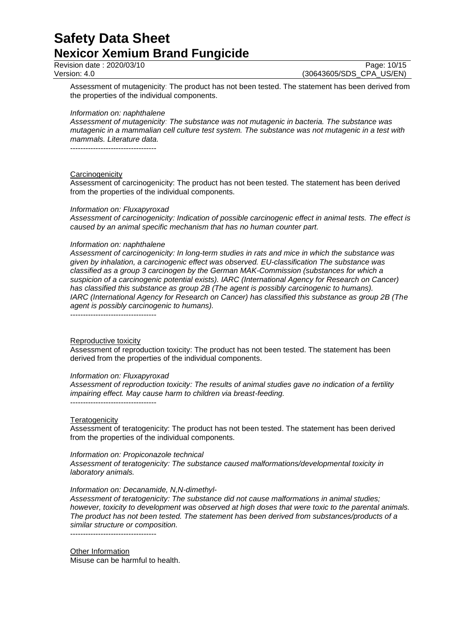Revision date : 2020/03/10 Page: 10/15<br>Version: 4.0 (30643605/SDS CPA US/EN)

(30643605/SDS CPA US/EN)

Assessment of mutagenicity: The product has not been tested. The statement has been derived from the properties of the individual components.

#### *Information on: naphthalene*

*Assessment of mutagenicity: The substance was not mutagenic in bacteria. The substance was mutagenic in a mammalian cell culture test system. The substance was not mutagenic in a test with mammals. Literature data.*

----------------------------------

#### **Carcinogenicity**

Assessment of carcinogenicity: The product has not been tested. The statement has been derived from the properties of the individual components.

#### *Information on: Fluxapyroxad*

*Assessment of carcinogenicity: Indication of possible carcinogenic effect in animal tests. The effect is caused by an animal specific mechanism that has no human counter part.*

#### *Information on: naphthalene*

*Assessment of carcinogenicity: In long-term studies in rats and mice in which the substance was given by inhalation, a carcinogenic effect was observed. EU-classification The substance was classified as a group 3 carcinogen by the German MAK-Commission (substances for which a suspicion of a carcinogenic potential exists). IARC (International Agency for Research on Cancer) has classified this substance as group 2B (The agent is possibly carcinogenic to humans). IARC (International Agency for Research on Cancer) has classified this substance as group 2B (The agent is possibly carcinogenic to humans).*

----------------------------------

## Reproductive toxicity

Assessment of reproduction toxicity: The product has not been tested. The statement has been derived from the properties of the individual components.

#### *Information on: Fluxapyroxad*

*Assessment of reproduction toxicity: The results of animal studies gave no indication of a fertility impairing effect. May cause harm to children via breast-feeding.* ----------------------------------

#### **Teratogenicity**

Assessment of teratogenicity: The product has not been tested. The statement has been derived from the properties of the individual components.

#### *Information on: Propiconazole technical*

*Assessment of teratogenicity: The substance caused malformations/developmental toxicity in laboratory animals.*

#### *Information on: Decanamide, N,N-dimethyl-*

*Assessment of teratogenicity: The substance did not cause malformations in animal studies; however, toxicity to development was observed at high doses that were toxic to the parental animals. The product has not been tested. The statement has been derived from substances/products of a similar structure or composition.* ----------------------------------

Other Information Misuse can be harmful to health.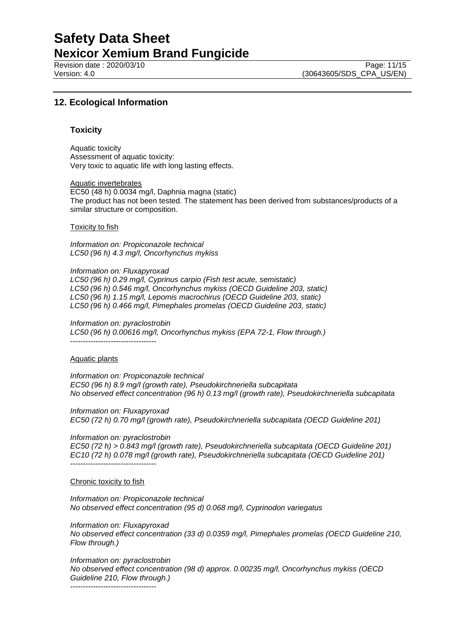Revision date : 2020/03/10 Page: 11/15<br>Version: 4.0 (30643605/SDS CPA US/EN)

## **12. Ecological Information**

## **Toxicity**

Aquatic toxicity Assessment of aquatic toxicity: Very toxic to aquatic life with long lasting effects.

Aquatic invertebrates EC50 (48 h) 0.0034 mg/l, Daphnia magna (static) The product has not been tested. The statement has been derived from substances/products of a similar structure or composition.

Toxicity to fish

*Information on: Propiconazole technical LC50 (96 h) 4.3 mg/l, Oncorhynchus mykiss*

*Information on: Fluxapyroxad LC50 (96 h) 0.29 mg/l, Cyprinus carpio (Fish test acute, semistatic)*

*LC50 (96 h) 0.546 mg/l, Oncorhynchus mykiss (OECD Guideline 203, static) LC50 (96 h) 1.15 mg/l, Lepomis macrochirus (OECD Guideline 203, static) LC50 (96 h) 0.466 mg/l, Pimephales promelas (OECD Guideline 203, static)*

*Information on: pyraclostrobin LC50 (96 h) 0.00616 mg/l, Oncorhynchus mykiss (EPA 72-1, Flow through.)* ----------------------------------

## Aquatic plants

*Information on: Propiconazole technical EC50 (96 h) 8.9 mg/l (growth rate), Pseudokirchneriella subcapitata No observed effect concentration (96 h) 0.13 mg/l (growth rate), Pseudokirchneriella subcapitata*

*Information on: Fluxapyroxad EC50 (72 h) 0.70 mg/l (growth rate), Pseudokirchneriella subcapitata (OECD Guideline 201)*

*Information on: pyraclostrobin*

*EC50 (72 h) > 0.843 mg/l (growth rate), Pseudokirchneriella subcapitata (OECD Guideline 201) EC10 (72 h) 0.078 mg/l (growth rate), Pseudokirchneriella subcapitata (OECD Guideline 201)* ----------------------------------

Chronic toxicity to fish

*Information on: Propiconazole technical No observed effect concentration (95 d) 0.068 mg/l, Cyprinodon variegatus*

*Information on: Fluxapyroxad*

*No observed effect concentration (33 d) 0.0359 mg/l, Pimephales promelas (OECD Guideline 210, Flow through.)*

*Information on: pyraclostrobin No observed effect concentration (98 d) approx. 0.00235 mg/l, Oncorhynchus mykiss (OECD Guideline 210, Flow through.)*

----------------------------------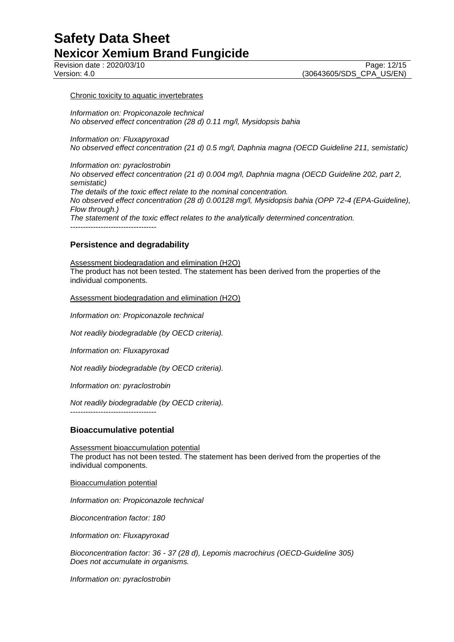#### Chronic toxicity to aquatic invertebrates

*Information on: Propiconazole technical No observed effect concentration (28 d) 0.11 mg/l, Mysidopsis bahia*

*Information on: Fluxapyroxad*

*No observed effect concentration (21 d) 0.5 mg/l, Daphnia magna (OECD Guideline 211, semistatic)*

*Information on: pyraclostrobin No observed effect concentration (21 d) 0.004 mg/l, Daphnia magna (OECD Guideline 202, part 2, semistatic) The details of the toxic effect relate to the nominal concentration. No observed effect concentration (28 d) 0.00128 mg/l, Mysidopsis bahia (OPP 72-4 (EPA-Guideline), Flow through.) The statement of the toxic effect relates to the analytically determined concentration.* ----------------------------------

## **Persistence and degradability**

Assessment biodegradation and elimination (H2O) The product has not been tested. The statement has been derived from the properties of the individual components.

Assessment biodegradation and elimination (H2O)

*Information on: Propiconazole technical*

*Not readily biodegradable (by OECD criteria).*

*Information on: Fluxapyroxad*

*Not readily biodegradable (by OECD criteria).*

*Information on: pyraclostrobin*

----------------------------------

*Not readily biodegradable (by OECD criteria).*

## **Bioaccumulative potential**

Assessment bioaccumulation potential

The product has not been tested. The statement has been derived from the properties of the individual components.

Bioaccumulation potential

*Information on: Propiconazole technical*

*Bioconcentration factor: 180*

*Information on: Fluxapyroxad*

*Bioconcentration factor: 36 - 37 (28 d), Lepomis macrochirus (OECD-Guideline 305) Does not accumulate in organisms.*

*Information on: pyraclostrobin*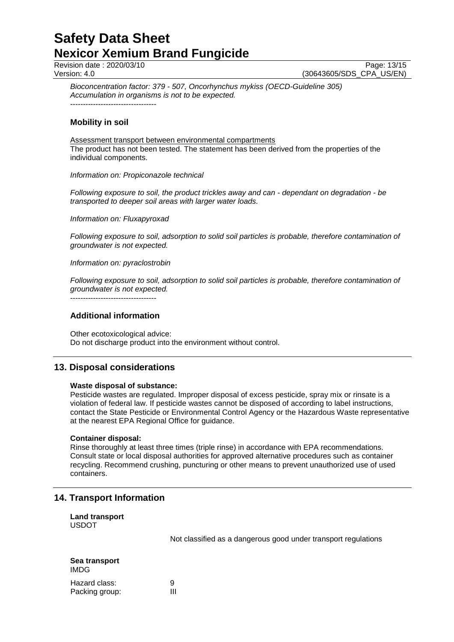Revision date : 2020/03/10 Page: 13/15<br>Version: 4.0 (30643605/SDS CPA US/EN)

(30643605/SDS\_CPA\_US/EN)

*Bioconcentration factor: 379 - 507, Oncorhynchus mykiss (OECD-Guideline 305) Accumulation in organisms is not to be expected.* ----------------------------------

**Mobility in soil**

Assessment transport between environmental compartments The product has not been tested. The statement has been derived from the properties of the individual components.

## *Information on: Propiconazole technical*

*Following exposure to soil, the product trickles away and can - dependant on degradation - be transported to deeper soil areas with larger water loads.*

*Information on: Fluxapyroxad*

*Following exposure to soil, adsorption to solid soil particles is probable, therefore contamination of groundwater is not expected.*

*Information on: pyraclostrobin*

*Following exposure to soil, adsorption to solid soil particles is probable, therefore contamination of groundwater is not expected.*

----------------------------------

## **Additional information**

Other ecotoxicological advice: Do not discharge product into the environment without control.

## **13. Disposal considerations**

## **Waste disposal of substance:**

Pesticide wastes are regulated. Improper disposal of excess pesticide, spray mix or rinsate is a violation of federal law. If pesticide wastes cannot be disposed of according to label instructions, contact the State Pesticide or Environmental Control Agency or the Hazardous Waste representative at the nearest EPA Regional Office for guidance.

## **Container disposal:**

Rinse thoroughly at least three times (triple rinse) in accordance with EPA recommendations. Consult state or local disposal authorities for approved alternative procedures such as container recycling. Recommend crushing, puncturing or other means to prevent unauthorized use of used containers.

## **14. Transport Information**

**Land transport** USDOT

Not classified as a dangerous good under transport regulations

| Sea transport<br>IMDG |   |
|-----------------------|---|
| Hazard class:         | g |
| Packing group:        | Ш |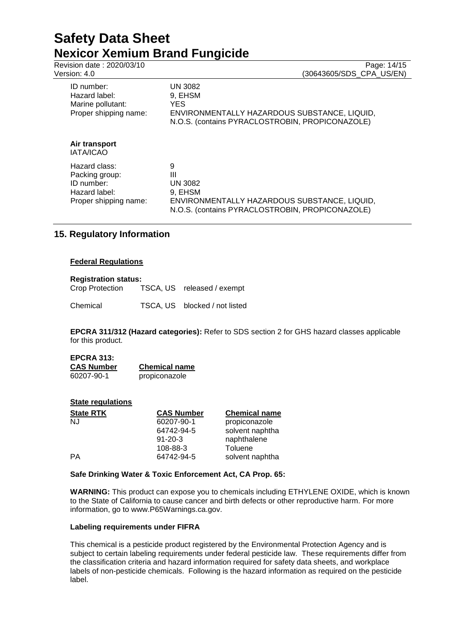# **Safety Data Sheet Nexicor Xemium Brand Fungicide**<br>Revision date: 2020/03/10

| Revision date: 2020/03/10<br>Version: 4.0                                               | Page: 14/15<br>(30643605/SDS CPA US/EN)                                                                                         |
|-----------------------------------------------------------------------------------------|---------------------------------------------------------------------------------------------------------------------------------|
| ID number:<br>Hazard label:<br>Marine pollutant:<br>Proper shipping name:               | UN 3082<br>9, EHSM<br>YES.<br>ENVIRONMENTALLY HAZARDOUS SUBSTANCE, LIQUID,<br>N.O.S. (contains PYRACLOSTROBIN, PROPICONAZOLE)   |
| Air transport<br>IATA/ICAO                                                              |                                                                                                                                 |
| Hazard class:<br>Packing group:<br>ID number:<br>Hazard label:<br>Proper shipping name: | 9<br>Ш<br>UN 3082<br>9, EHSM<br>ENVIRONMENTALLY HAZARDOUS SUBSTANCE, LIQUID,<br>N.O.S. (contains PYRACLOSTROBIN, PROPICONAZOLE) |

## **15. Regulatory Information**

## **Federal Regulations**

**Registration status:** TSCA, US released / exempt

Chemical TSCA, US blocked / not listed

**EPCRA 311/312 (Hazard categories):** Refer to SDS section 2 for GHS hazard classes applicable for this product.

| <b>EPCRA 313:</b> |                      |
|-------------------|----------------------|
| <b>CAS Number</b> | <b>Chemical name</b> |
| 60207-90-1        | propiconazole        |

## **State regulations**

| <b>State RTK</b> | <b>CAS Number</b> | <b>Chemical name</b> |
|------------------|-------------------|----------------------|
| NJ               | 60207-90-1        | propiconazole        |
|                  | 64742-94-5        | solvent naphtha      |
|                  | $91 - 20 - 3$     | naphthalene          |
|                  | 108-88-3          | Toluene              |
| РA               | 64742-94-5        | solvent naphtha      |

## **Safe Drinking Water & Toxic Enforcement Act, CA Prop. 65:**

**WARNING:** This product can expose you to chemicals including ETHYLENE OXIDE, which is known to the State of California to cause cancer and birth defects or other reproductive harm. For more information, go to www.P65Warnings.ca.gov.

## **Labeling requirements under FIFRA**

This chemical is a pesticide product registered by the Environmental Protection Agency and is subject to certain labeling requirements under federal pesticide law. These requirements differ from the classification criteria and hazard information required for safety data sheets, and workplace labels of non-pesticide chemicals. Following is the hazard information as required on the pesticide label.